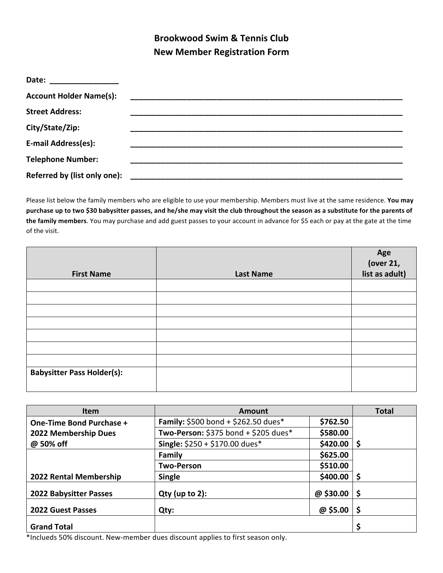## **Brookwood Swim & Tennis Club New Member Registration Form**

| Date: _________________        |  |
|--------------------------------|--|
| <b>Account Holder Name(s):</b> |  |
| <b>Street Address:</b>         |  |
| City/State/Zip:                |  |
| E-mail Address(es):            |  |
| <b>Telephone Number:</b>       |  |
| Referred by (list only one):   |  |

Please list below the family members who are eligible to use your membership. Members must live at the same residence. You may purchase up to two \$30 babysitter passes, and he/she may visit the club throughout the season as a substitute for the parents of the family members. You may purchase and add guest passes to your account in advance for \$5 each or pay at the gate at the time of the visit.

|                                   |                  | Age<br>(over 21, |
|-----------------------------------|------------------|------------------|
| <b>First Name</b>                 | <b>Last Name</b> | list as adult)   |
|                                   |                  |                  |
|                                   |                  |                  |
|                                   |                  |                  |
|                                   |                  |                  |
|                                   |                  |                  |
|                                   |                  |                  |
|                                   |                  |                  |
| <b>Babysitter Pass Holder(s):</b> |                  |                  |
|                                   |                  |                  |

| <b>Item</b>                     | Amount                                     |          | <b>Total</b> |
|---------------------------------|--------------------------------------------|----------|--------------|
| <b>One-Time Bond Purchase +</b> | <b>Family:</b> \$500 bond + \$262.50 dues* | \$762.50 |              |
| 2022 Membership Dues            | Two-Person: $$375$ bond + $$205$ dues*     | \$580.00 |              |
| @ 50% off                       | Single: \$250 + \$170.00 dues*             | \$420.00 | l \$         |
|                                 | <b>Family</b>                              | \$625.00 |              |
|                                 | <b>Two-Person</b>                          | \$510.00 |              |
| 2022 Rental Membership          | <b>Single</b>                              | \$400.00 | -\$          |
| <b>2022 Babysitter Passes</b>   | $Qty$ (up to 2):                           | @\$30.00 | -\$          |
| <b>2022 Guest Passes</b>        | Qty:                                       | @\$5.00  | -\$          |
| <b>Grand Total</b>              |                                            |          | \$           |

\*Inclueds 50% discount. New-member dues discount applies to first season only.